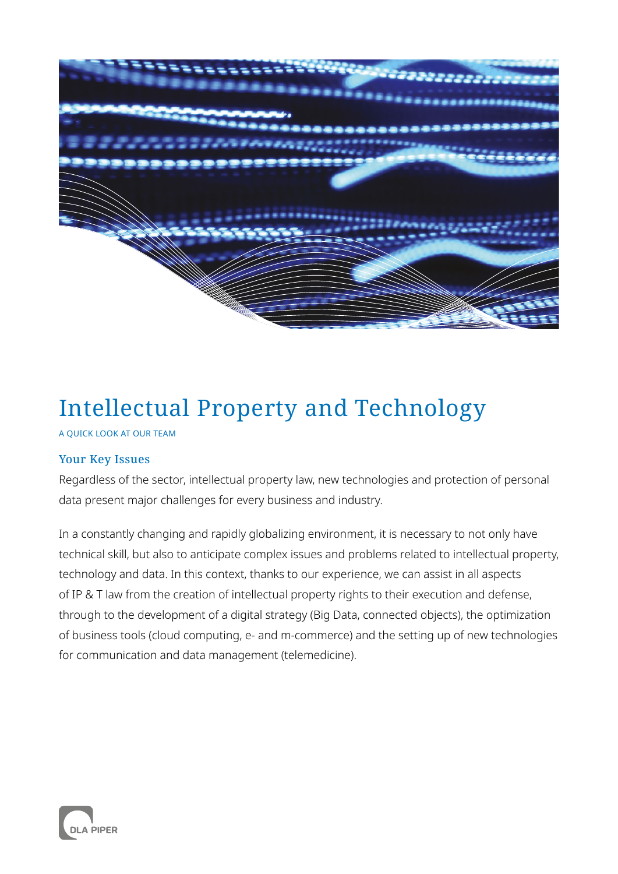

# Intellectual Property and Technology

A QUICK LOOK AT OUR TEAM

# Your Key Issues

Regardless of the sector, intellectual property law, new technologies and protection of personal data present major challenges for every business and industry.

In a constantly changing and rapidly globalizing environment, it is necessary to not only have technical skill, but also to anticipate complex issues and problems related to intellectual property, technology and data. In this context, thanks to our experience, we can assist in all aspects of IP & T law from the creation of intellectual property rights to their execution and defense, through to the development of a digital strategy (Big Data, connected objects), the optimization of business tools (cloud computing, e- and m-commerce) and the setting up of new technologies for communication and data management (telemedicine).

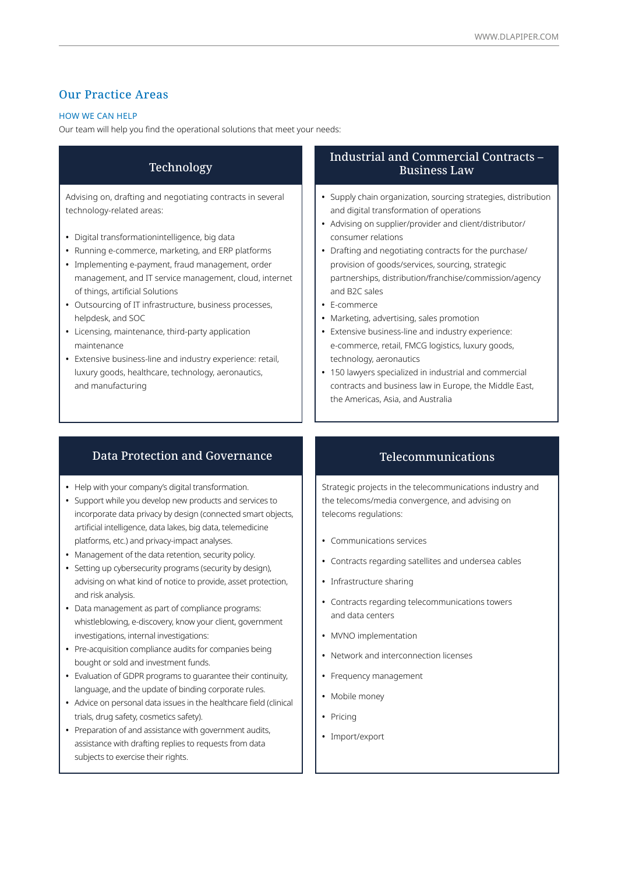# Our Practice Areas

#### HOW WE CAN HELP

Our team will help you find the operational solutions that meet your needs:

# Technology

Advising on, drafting and negotiating contracts in several technology-related areas:

- **•** Digital transformationintelligence, big data
- **•** Running e-commerce, marketing, and ERP platforms
- **•** Implementing e-payment, fraud management, order management, and IT service management, cloud, internet of things, artificial Solutions
- **•** Outsourcing of IT infrastructure, business processes, helpdesk, and SOC
- **•** Licensing, maintenance, third-party application maintenance
- **•** Extensive business-line and industry experience: retail, luxury goods, healthcare, technology, aeronautics, and manufacturing

#### Industrial and Commercial Contracts – Business Law

- **•** Supply chain organization, sourcing strategies, distribution and digital transformation of operations
- **•** Advising on supplier/provider and client/distributor/ consumer relations
- **•** Drafting and negotiating contracts for the purchase/ provision of goods/services, sourcing, strategic partnerships, distribution/franchise/commission/agency and B2C sales
- **•** E-commerce
- **•** Marketing, advertising, sales promotion
- **•** Extensive business-line and industry experience: e-commerce, retail, FMCG logistics, luxury goods, technology, aeronautics
- **•** 150 lawyers specialized in industrial and commercial contracts and business law in Europe, the Middle East, the Americas, Asia, and Australia

#### Data Protection and Governance

- **•** Help with your company's digital transformation.
- **•** Support while you develop new products and services to incorporate data privacy by design (connected smart objects, artificial intelligence, data lakes, big data, telemedicine platforms, etc.) and privacy-impact analyses.
- **•** Management of the data retention, security policy.
- **•** Setting up cybersecurity programs (security by design), advising on what kind of notice to provide, asset protection, and risk analysis.
- **•** Data management as part of compliance programs: whistleblowing, e-discovery, know your client, government investigations, internal investigations:
- **•** Pre-acquisition compliance audits for companies being bought or sold and investment funds.
- **•** Evaluation of GDPR programs to guarantee their continuity, language, and the update of binding corporate rules.
- **•** Advice on personal data issues in the healthcare field (clinical trials, drug safety, cosmetics safety).
- **•** Preparation of and assistance with government audits, assistance with drafting replies to requests from data subjects to exercise their rights.

#### Telecommunications

Strategic projects in the telecommunications industry and the telecoms/media convergence, and advising on telecoms regulations:

- **•** Communications services
- **•** Contracts regarding satellites and undersea cables
- **•** Infrastructure sharing
- **•** Contracts regarding telecommunications towers and data centers
- **•** MVNO implementation
- **•** Network and interconnection licenses
- **•** Frequency management
- **•** Mobile money
- **•** Pricing
- **•** Import/export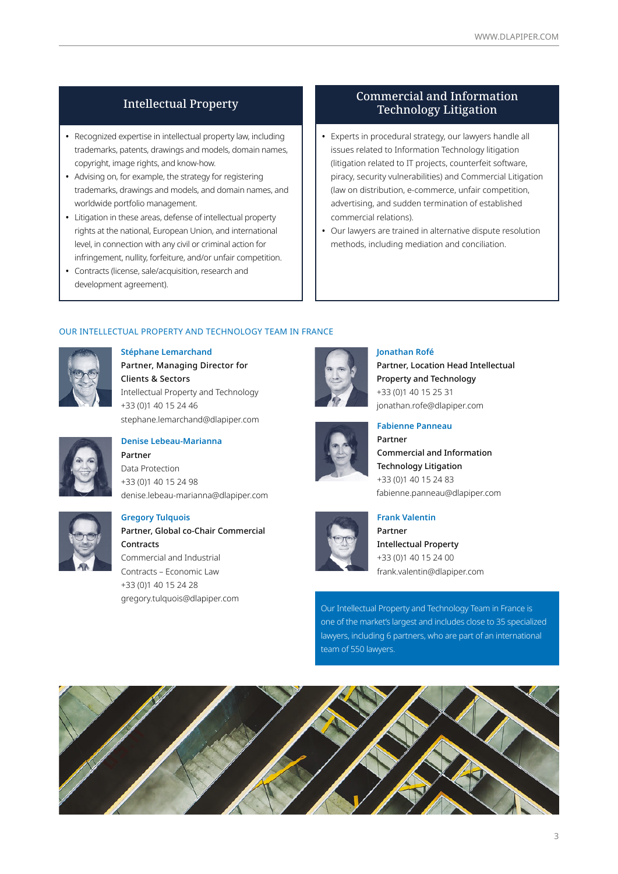## Intellectual Property

- **•** Recognized expertise in intellectual property law, including trademarks, patents, drawings and models, domain names, copyright, image rights, and know-how.
- **•** Advising on, for example, the strategy for registering trademarks, drawings and models, and domain names, and worldwide portfolio management.
- **•** Litigation in these areas, defense of intellectual property rights at the national, European Union, and international level, in connection with any civil or criminal action for infringement, nullity, forfeiture, and/or unfair competition.
- **•** Contracts (license, sale/acquisition, research and development agreement).

## Commercial and Information Technology Litigation

- **•** Experts in procedural strategy, our lawyers handle all issues related to Information Technology litigation (litigation related to IT projects, counterfeit software, piracy, security vulnerabilities) and Commercial Litigation (law on distribution, e-commerce, unfair competition, advertising, and sudden termination of established commercial relations).
- **•** Our lawyers are trained in alternative dispute resolution methods, including mediation and conciliation.

#### OUR INTELLECTUAL PROPERTY AND TECHNOLOGY TEAM IN FRANCE



**Stéphane Lemarchand** Partner, Managing Director for Clients & Sectors Intellectual Property and Technology +33 (0)1 40 15 24 46 stephane.lemarchand@dlapiper.com **Fabienne Panneau**



# **Denise Lebeau-Marianna**

Partner Data Protection +33 (0)1 40 15 24 98 denise.lebeau-marianna@dlapiper.com



#### **Gregory Tulquois**

Partner, Global co-Chair Commercial Contracts Commercial and Industrial Contracts – Economic Law +33 (0)1 40 15 24 28 gregory.tulquois@dlapiper.com



#### **Jonathan Rofé**

Partner, Location Head Intellectual Property and Technology +33 (0)1 40 15 25 31 jonathan.rofe@dlapiper.com



Commercial and Information Technology Litigation +33 (0)1 40 15 24 83 fabienne.panneau@dlapiper.com



# **Frank Valentin**

Partner Intellectual Property +33 (0)1 40 15 24 00 frank.valentin@dlapiper.com

Our Intellectual Property and Technology Team in France is one of the market's largest and includes close to 35 specialized lawyers, including 6 partners, who are part of an international team of 550 lawyers.